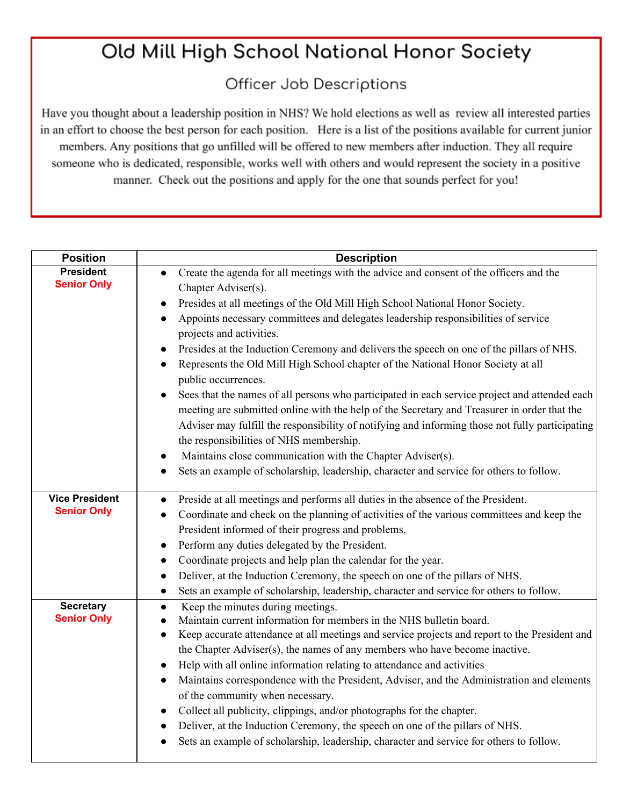## Old Mill High School National Honor Society

## Officer Job Descriptions

Have you thought about a leadership position in NHS? We hold elections as well as review all interested parties in an effort to choose the best person for each position. Here is a list of the positions available for current junior members. Any positions that go unfilled will be offered to new members after induction. They all require someone who is dedicated, responsible, works well with others and would represent the society in a positive manner. Check out the positions and apply for the one that sounds perfect for you!

| <b>Position</b>                        | <b>Description</b>                                                                                         |
|----------------------------------------|------------------------------------------------------------------------------------------------------------|
| <b>President</b><br><b>Senior Only</b> | Create the agenda for all meetings with the advice and consent of the officers and the                     |
|                                        | Chapter Adviser(s).                                                                                        |
|                                        | Presides at all meetings of the Old Mill High School National Honor Society.                               |
|                                        | Appoints necessary committees and delegates leadership responsibilities of service                         |
|                                        | projects and activities.                                                                                   |
|                                        | Presides at the Induction Ceremony and delivers the speech on one of the pillars of NHS.                   |
|                                        | Represents the Old Mill High School chapter of the National Honor Society at all<br>public occurrences.    |
|                                        | Sees that the names of all persons who participated in each service project and attended each<br>$\bullet$ |
|                                        | meeting are submitted online with the help of the Secretary and Treasurer in order that the                |
|                                        | Adviser may fulfill the responsibility of notifying and informing those not fully participating            |
|                                        | the responsibilities of NHS membership.                                                                    |
|                                        | Maintains close communication with the Chapter Adviser(s).<br>$\bullet$                                    |
|                                        | Sets an example of scholarship, leadership, character and service for others to follow.                    |
| <b>Vice President</b>                  | Preside at all meetings and performs all duties in the absence of the President.<br>$\bullet$              |
| <b>Senior Only</b>                     | Coordinate and check on the planning of activities of the various committees and keep the                  |
|                                        | President informed of their progress and problems.                                                         |
|                                        | Perform any duties delegated by the President.<br>$\bullet$                                                |
|                                        | Coordinate projects and help plan the calendar for the year.<br>$\bullet$                                  |
|                                        | Deliver, at the Induction Ceremony, the speech on one of the pillars of NHS.<br>$\bullet$                  |
|                                        | Sets an example of scholarship, leadership, character and service for others to follow.<br>$\bullet$       |
| <b>Secretary</b>                       | Keep the minutes during meetings.<br>$\bullet$                                                             |
| <b>Senior Only</b>                     | Maintain current information for members in the NHS bulletin board.                                        |
|                                        | Keep accurate attendance at all meetings and service projects and report to the President and<br>$\bullet$ |
|                                        | the Chapter Adviser(s), the names of any members who have become inactive.                                 |
|                                        | Help with all online information relating to attendance and activities                                     |
|                                        | Maintains correspondence with the President, Adviser, and the Administration and elements                  |
|                                        | of the community when necessary.                                                                           |
|                                        | Collect all publicity, clippings, and/or photographs for the chapter.                                      |
|                                        | Deliver, at the Induction Ceremony, the speech on one of the pillars of NHS.                               |
|                                        | Sets an example of scholarship, leadership, character and service for others to follow.                    |